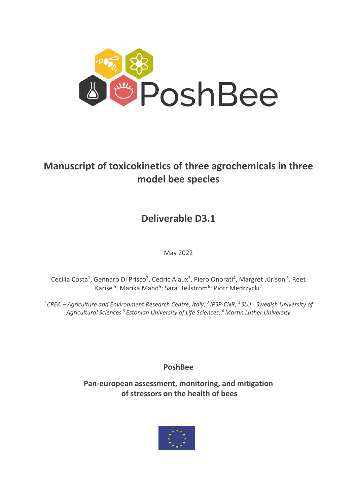

# **Manuscript of toxicokinetics of three agrochemicals in three model bee species**

**Deliverable D3.1**

May 2022

Cecilia Costa<sup>1</sup>, Gennaro Di Prisco<sup>2</sup>, Cedric Alaux<sup>3</sup>, Piero Onorati<sup>4</sup>, Margret Jürison<sup>5</sup>, Reet Karise<sup>5</sup>, Marika Mänd<sup>5</sup>; Sara Hellström<sup>6</sup>; Piotr Medrzycki<sup>2</sup>

*1 CREA – Agriculture and Environment Research Centre, Italy; 2 IPSP-CNR; <sup>4</sup> SLU - Swedish University of Agricultural Sciences 5 Estonian University of Life Sciences; 6 Martin Luther University*

**PoshBee**

**Pan-european assessment, monitoring, and mitigation of stressors on the health of bees**

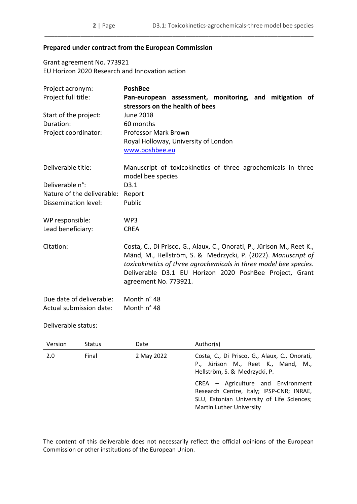## **Prepared under contract from the European Commission**

Grant agreement No. 773921 EU Horizon 2020 Research and Innovation action

| Project acronym:           | <b>PoshBee</b>                                                                                                                                                                                                                                                                                   |
|----------------------------|--------------------------------------------------------------------------------------------------------------------------------------------------------------------------------------------------------------------------------------------------------------------------------------------------|
| Project full title:        | Pan-european assessment, monitoring, and mitigation of                                                                                                                                                                                                                                           |
|                            | stressors on the health of bees                                                                                                                                                                                                                                                                  |
| Start of the project:      | June 2018                                                                                                                                                                                                                                                                                        |
| Duration:                  | 60 months                                                                                                                                                                                                                                                                                        |
| Project coordinator:       | <b>Professor Mark Brown</b>                                                                                                                                                                                                                                                                      |
|                            | Royal Holloway, University of London                                                                                                                                                                                                                                                             |
|                            | www.poshbee.eu                                                                                                                                                                                                                                                                                   |
| Deliverable title:         | Manuscript of toxicokinetics of three agrochemicals in three                                                                                                                                                                                                                                     |
|                            | model bee species                                                                                                                                                                                                                                                                                |
| Deliverable n°:            | D3.1                                                                                                                                                                                                                                                                                             |
| Nature of the deliverable: | Report                                                                                                                                                                                                                                                                                           |
| Dissemination level:       | Public                                                                                                                                                                                                                                                                                           |
| WP responsible:            | WP3                                                                                                                                                                                                                                                                                              |
| Lead beneficiary:          | <b>CREA</b>                                                                                                                                                                                                                                                                                      |
| Citation:                  | Costa, C., Di Prisco, G., Alaux, C., Onorati, P., Jürison M., Reet K.,<br>Mänd, M., Hellström, S. & Medrzycki, P. (2022). Manuscript of<br>toxicokinetics of three agrochemicals in three model bee species.<br>Deliverable D3.1 EU Horizon 2020 PoshBee Project, Grant<br>agreement No. 773921. |
| Due date of deliverable:   | Month n° 48                                                                                                                                                                                                                                                                                      |
| Actual submission date:    | Month n° 48                                                                                                                                                                                                                                                                                      |

\_\_\_\_\_\_\_\_\_\_\_\_\_\_\_\_\_\_\_\_\_\_\_\_\_\_\_\_\_\_\_\_\_\_\_\_\_\_\_\_\_\_\_\_\_\_\_\_\_\_\_\_\_\_\_\_\_\_\_\_\_\_\_\_\_\_\_\_\_\_\_\_\_\_\_\_\_\_\_\_\_\_

## Deliverable status:

| Version | <b>Status</b> | Date       | Author(s)                                                                                                                                                       |
|---------|---------------|------------|-----------------------------------------------------------------------------------------------------------------------------------------------------------------|
| 2.0     | Final         | 2 May 2022 | Costa, C., Di Prisco, G., Alaux, C., Onorati,<br>P., Jürison M., Reet K., Mänd, M.,<br>Hellström, S. & Medrzycki, P.                                            |
|         |               |            | CREA - Agriculture and Environment<br>Research Centre, Italy; IPSP-CNR; INRAE,<br>SLU, Estonian University of Life Sciences;<br><b>Martin Luther University</b> |

The content of this deliverable does not necessarily reflect the official opinions of the European Commission or other institutions of the European Union.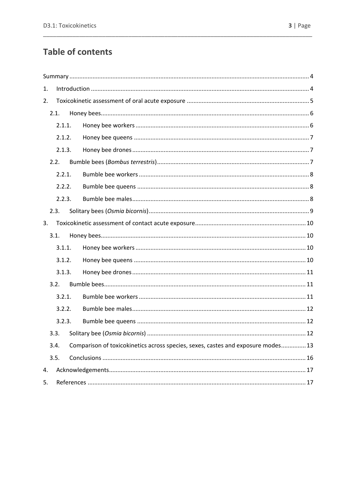# **Table of contents**

| 1. |        |                                                                                  |
|----|--------|----------------------------------------------------------------------------------|
| 2. |        |                                                                                  |
|    | 2.1.   |                                                                                  |
|    | 2.1.1. |                                                                                  |
|    | 2.1.2. |                                                                                  |
|    | 2.1.3. |                                                                                  |
|    | 2.2.   |                                                                                  |
|    | 2.2.1. |                                                                                  |
|    | 2.2.2. |                                                                                  |
|    | 2.2.3. |                                                                                  |
|    | 2.3.   |                                                                                  |
| 3. |        |                                                                                  |
|    | 3.1.   |                                                                                  |
|    |        |                                                                                  |
|    | 3.1.1. |                                                                                  |
|    | 3.1.2. |                                                                                  |
|    | 3.1.3. |                                                                                  |
|    | 3.2.   |                                                                                  |
|    | 3.2.1. |                                                                                  |
|    | 3.2.2. |                                                                                  |
|    | 3.2.3. |                                                                                  |
|    | 3.3.   |                                                                                  |
|    | 3.4.   | Comparison of toxicokinetics across species, sexes, castes and exposure modes 13 |
|    | 3.5.   |                                                                                  |
| 4. |        |                                                                                  |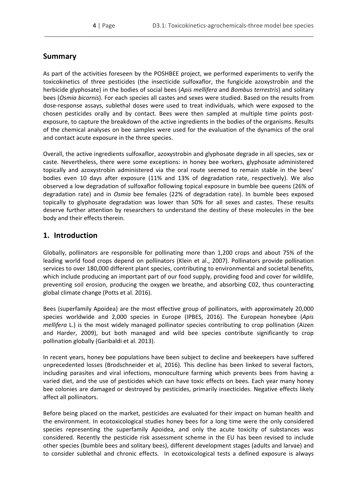# <span id="page-3-0"></span>**Summary**

As part of the activities foreseen by the POSHBEE project, we performed experiments to verify the toxicokinetics of three pesticides (the insecticide sulfoxaflor, the fungicide azoxystrobin and the herbicide glyphosate) in the bodies of social bees (*Apis mellifera* and *Bombus terrestris*) and solitary bees (*Osmia bicornis*). For each species all castes and sexes were studied. Based on the results from dose-response assays, sublethal doses were used to treat individuals, which were exposed to the chosen pesticides orally and by contact. Bees were then sampled at multiple time points postexposure, to capture the breakdown of the active ingredients in the bodies of the organisms. Results of the chemical analyses on bee samples were used for the evaluation of the dynamics of the oral and contact acute exposure in the three species.

\_\_\_\_\_\_\_\_\_\_\_\_\_\_\_\_\_\_\_\_\_\_\_\_\_\_\_\_\_\_\_\_\_\_\_\_\_\_\_\_\_\_\_\_\_\_\_\_\_\_\_\_\_\_\_\_\_\_\_\_\_\_\_\_\_\_\_\_\_\_\_\_\_\_\_\_\_\_\_\_\_\_

Overall, the active ingredients sulfoxaflor, azoxystrobin and glyphosate degrade in all species, sex or caste. Nevertheless, there were some exceptions: in honey bee workers, glyphosate administered topically and azoxystrobin administered via the oral route seemed to remain stable in the bees' bodies even 10 days after exposure (11% and 13% of degradation rate, respectively). We also observed a low degradation of sulfoxaflor following topical exposure in bumble bee queens (26% of degradation rate) and in *Osmia* bee females (22% of degradation rate). In bumble bees exposed topically to glyphosate degradation was lower than 50% for all sexes and castes. These results deserve further attention by researchers to understand the destiny of these molecules in the bee body and their effects therein.

# <span id="page-3-1"></span>**1. Introduction**

Globally, pollinators are responsible for pollinating more than 1,200 crops and about 75% of the leading world food crops depend on pollinators (Klein et al., 2007). Pollinators provide pollination services to over 180,000 different plant species, contributing to environmental and societal benefits, which include producing an important part of our food supply, providing food and cover for wildlife, preventing soil erosion, producing the oxygen we breathe, and absorbing C02, thus counteracting global climate change (Potts et al. 2016).

Bees (superfamily Apoidea) are the most effective group of pollinators, with approximately 20,000 species worldwide and 2,000 species in Europe (IPBES, 2016). The European honeybee (*Apis mellifera* L.) is the most widely managed pollinator species contributing to crop pollination (Aizen and Harder, 2009), but both managed and wild bee species contribute significantly to crop pollination globally (Garibaldi et al. 2013).

In recent years, honey bee populations have been subject to decline and beekeepers have suffered unprecedented losses (Brodschneider et al, 2016). This decline has been linked to several factors, including parasites and viral infections, monoculture farming which prevents bees from having a varied diet, and the use of pesticides which can have toxic effects on bees. Each year many honey bee colonies are damaged or destroyed by pesticides, primarily insecticides. Negative effects likely affect all pollinators.

Before being placed on the market, pesticides are evaluated for their impact on human health and the environment. In ecotoxicological studies honey bees for a long time were the only considered species representing the superfamily Apoidea, and only the acute toxicity of substances was considered. Recently the pesticide risk assessment scheme in the EU has been revised to include other species (bumble bees and solitary bees), different development stages (adults and larvae) and to consider sublethal and chronic effects. In ecotoxicological tests a defined exposure is always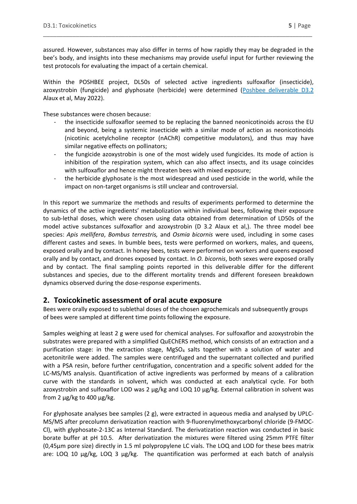assured. However, substances may also differ in terms of how rapidly they may be degraded in the bee's body, and insights into these mechanisms may provide useful input for further reviewing the test protocols for evaluating the impact of a certain chemical.

\_\_\_\_\_\_\_\_\_\_\_\_\_\_\_\_\_\_\_\_\_\_\_\_\_\_\_\_\_\_\_\_\_\_\_\_\_\_\_\_\_\_\_\_\_\_\_\_\_\_\_\_\_\_\_\_\_\_\_\_\_\_\_\_\_\_\_\_\_\_\_\_\_\_\_\_\_\_\_\_\_\_

Within the POSHBEE project, DL50s of selected active ingredients sulfoxaflor (insecticide), azoxystrobin (fungicide) and glyphosate (herbicide) were determined [\(Poshbee deliverable D3.2](https://poshbee.eu/documents/1/)  [Alaux et al,](https://poshbee.eu/documents/1/) May 2022).

These substances were chosen because:

- the insecticide sulfoxaflor seemed to be replacing the banned neonicotinoids across the EU and beyond, being a systemic insecticide with a similar mode of action as neonicotinoids (nicotinic acetylcholine receptor (nAChR) competitive modulators), and thus may have similar negative effects on pollinators;
- the fungicide azoxystrobin is one of the most widely used fungicides. Its mode of action is inhibition of the respiration system, which can also affect insects, and its usage coincides with sulfoxaflor and hence might threaten bees with mixed exposure;
- the herbicide glyphosate is the most widespread and used pesticide in the world, while the impact on non-target organisms is still unclear and controversial.

In this report we summarize the methods and results of experiments performed to determine the dynamics of the active ingredients' metabolization within individual bees, following their exposure to sub-lethal doses, which were chosen using data obtained from determination of LD50s of the model active substances sulfoxaflor and azoxystrobin (D 3.2 Alaux et al,). The three model bee species: *Apis mellifera*, *Bombus terrestris,* and *Osmia bicornis* were used, including in some cases different castes and sexes. In bumble bees, tests were performed on workers, males, and queens, exposed orally and by contact. In honey bees, tests were performed on workers and queens exposed orally and by contact, and drones exposed by contact. In *O. bicornis*, both sexes were exposed orally and by contact. The final sampling points reported in this deliverable differ for the different substances and species, due to the different mortality trends and different foreseen breakdown dynamics observed during the dose-response experiments.

## <span id="page-4-0"></span>**2. Toxicokinetic assessment of oral acute exposure**

Bees were orally exposed to sublethal doses of the chosen agrochemicals and subsequently groups of bees were sampled at different time points following the exposure.

Samples weighing at least 2 g were used for chemical analyses. For sulfoxaflor and azoxystrobin the substrates were prepared with a simplified QuEChERS method, which consists of an extraction and a purification stage: in the extraction stage, MgSO<sub>4</sub> salts together with a solution of water and acetonitrile were added. The samples were centrifuged and the supernatant collected and purified with a PSA resin, before further centrifugation, concentration and a specific solvent added for the LC-MS/MS analysis. Quantification of active ingredients was performed by means of a calibration curve with the standards in solvent, which was conducted at each analytical cycle. For both azoxystrobin and sulfoxaflor LOD was 2  $\mu$ g/kg and LOQ 10  $\mu$ g/kg. External calibration in solvent was from 2  $\mu$ g/kg to 400  $\mu$ g/kg.

For glyphosate analyses bee samples (2 g), were extracted in aqueous media and analysed by UPLC-MS/MS after precolumn derivatization reaction with 9-fluorenylmethoxycarbonyl chloride (9-FMOC-Cl), with glyphosate-2-13C as Internal Standard. The derivatization reaction was conducted in basic borate buffer at pH 10.5. After derivatization the mixtures were filtered using 25mm PTFE filter (0,45µm pore size) directly in 1.5 ml polypropylene LC vials. The LOQ and LOD for these bees matrix are: LOQ 10 µg/kg, LOQ 3 µg/kg. The quantification was performed at each batch of analysis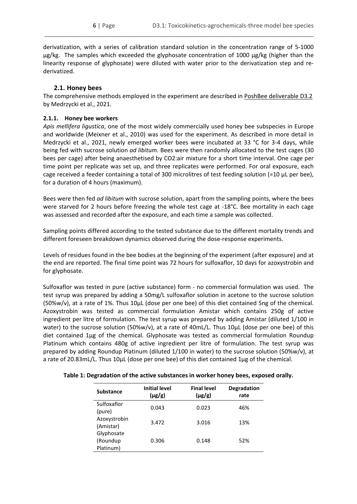derivatization, with a series of calibration standard solution in the concentration range of 5-1000 µg/kg. The samples which exceeded the glyphosate concentration of 1000 µg/kg (higher than the linearity response of glyphosate) were diluted with water prior to the derivatization step and rederivatized.

\_\_\_\_\_\_\_\_\_\_\_\_\_\_\_\_\_\_\_\_\_\_\_\_\_\_\_\_\_\_\_\_\_\_\_\_\_\_\_\_\_\_\_\_\_\_\_\_\_\_\_\_\_\_\_\_\_\_\_\_\_\_\_\_\_\_\_\_\_\_\_\_\_\_\_\_\_\_\_\_\_\_

## **2.1. Honey bees**

<span id="page-5-0"></span>The comprehensive methods employed in the experiment are described i[n PoshBee deliverable D3.2](https://poshbee.eu/getatt.php?filename=PoshBee+Deliverable+D3.2+Improved+protocols+for+testing+agrochems_bees_FINALv2_3412.pdf) by Medrzycki et al., 2021.

## <span id="page-5-1"></span>**2.1.1. Honey bee workers**

*Apis mellifera ligustica*, one of the most widely commercially used honey bee subspecies in Europe and worldwide (Meixner et al., 2010) was used for the experiment. As described in more detail in Medrzycki et al., 2021, newly emerged worker bees were incubated at 33 °C for 3-4 days, while being fed with sucrose solution *ad libitum*. Bees were then randomly allocated to the test cages (30 bees per cage) after being anaesthetised by CO2:air mixture for a short time interval. One cage per time point per replicate was set up, and three replicates were performed. For oral exposure, each cage received a feeder containing a total of 300 microlitres of test feeding solution (=10 μL per bee), for a duration of 4 hours (maximum).

Bees were then fed *ad libitum* with sucrose solution, apart from the sampling points, where the bees were starved for 2 hours before freezing the whole test cage at -18°C. Bee mortality in each cage was assessed and recorded after the exposure, and each time a sample was collected.

Sampling points differed according to the tested substance due to the different mortality trends and different foreseen breakdown dynamics observed during the dose-response experiments.

Levels of residues found in the bee bodies at the beginning of the experiment (after exposure) and at the end are reported. The final time point was 72 hours for sulfoxaflor, 10 days for azoxystrobin and for glyphosate.

Sulfoxaflor was tested in pure (active substance) form - no commercial formulation was used. The test syrup was prepared by adding a 50mg/L sulfoxaflor solution in acetone to the sucrose solution (50%w/v), at a rate of 1%. Thus 10μL (dose per one bee) of this diet contained 5ng of the chemical. Azoxystrobin was tested as commercial formulation Amistar which contains 250g of active ingredient per litre of formulation. The test syrup was prepared by adding Amistar (diluted 1/100 in water) to the sucrose solution (50%w/v), at a rate of 40mL/L. Thus 10μL (dose per one bee) of this diet contained 1μg of the chemical. Glyphosate was tested as commercial formulation Roundup Platinum which contains 480g of active ingredient per litre of formulation. The test syrup was prepared by adding Roundup Platinum (diluted 1/100 in water) to the sucrose solution (50%w/v), at a rate of 20.83mL/L. Thus 10μL (dose per one bee) of this diet contained 1μg of the chemical.

| <b>Substance</b>                    | <b>Initial level</b><br>$(\mu g/g)$ | <b>Final level</b><br>$(\mu g/g)$ | <b>Degradation</b><br>rate |
|-------------------------------------|-------------------------------------|-----------------------------------|----------------------------|
| Sulfoxaflor<br>(pure)               | 0.043                               | 0.023                             | 46%                        |
| Azoxystrobin<br>(Amistar)           | 3.472                               | 3.016                             | 13%                        |
| Glyphosate<br>(Roundup<br>Platinum) | 0.306                               | 0.148                             | 52%                        |

**Table 1: Degradation of the active substances in worker honey bees, exposed orally.**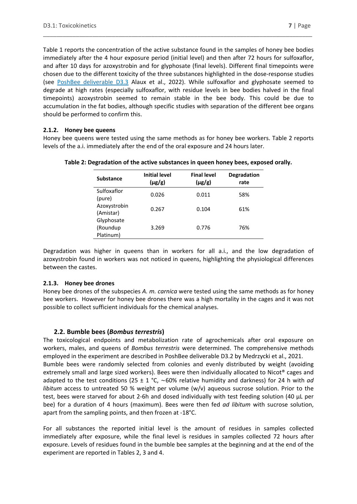Table 1 reports the concentration of the active substance found in the samples of honey bee bodies immediately after the 4 hour exposure period (initial level) and then after 72 hours for sulfoxaflor, and after 10 days for azoxystrobin and for glyphosate (final levels). Different final timepoints were chosen due to the different toxicity of the three substances highlighted in the dose-response studies (see [PoshBee deliverable D3.3](https://poshbee.eu/documents/1) Alaux et al., 2022). While sulfoxaflor and glyphosate seemed to degrade at high rates (especially sulfoxaflor, with residue levels in bee bodies halved in the final timepoints) azoxystrobin seemed to remain stable in the bee body. This could be due to accumulation in the fat bodies, although specific studies with separation of the different bee organs should be performed to confirm this.

\_\_\_\_\_\_\_\_\_\_\_\_\_\_\_\_\_\_\_\_\_\_\_\_\_\_\_\_\_\_\_\_\_\_\_\_\_\_\_\_\_\_\_\_\_\_\_\_\_\_\_\_\_\_\_\_\_\_\_\_\_\_\_\_\_\_\_\_\_\_\_\_\_\_\_\_\_\_\_\_\_\_

## <span id="page-6-0"></span>**2.1.2. Honey bee queens**

Honey bee queens were tested using the same methods as for honey bee workers. Table 2 reports levels of the a.i. immediately after the end of the oral exposure and 24 hours later.

| <b>Substance</b>                    | <b>Initial level</b><br>$(\mu g/g)$ | <b>Final level</b><br>$(\mu g/g)$ | <b>Degradation</b><br>rate |
|-------------------------------------|-------------------------------------|-----------------------------------|----------------------------|
| Sulfoxaflor<br>(pure)               | 0.026                               | 0.011                             | 58%                        |
| Azoxystrobin<br>(Amistar)           | 0.267                               | 0.104                             | 61%                        |
| Glyphosate<br>(Roundup<br>Platinum) | 3.269                               | 0.776                             | 76%                        |

#### **Table 2: Degradation of the active substances in queen honey bees, exposed orally.**

Degradation was higher in queens than in workers for all a.i., and the low degradation of azoxystrobin found in workers was not noticed in queens, highlighting the physiological differences between the castes.

## <span id="page-6-1"></span>**2.1.3. Honey bee drones**

Honey bee drones of the subspecies *A. m. carnica* were tested using the same methods as for honey bee workers. However for honey bee drones there was a high mortality in the cages and it was not possible to collect sufficient individuals for the chemical analyses.

## **2.2. Bumble bees (***Bombus terrestris***)**

<span id="page-6-2"></span>The toxicological endpoints and metabolization rate of agrochemicals after oral exposure on workers, males, and queens of *Bombus terrestris* were determined. The comprehensive methods employed in the experiment are described in [PoshBee deliverable D3.2](https://poshbee.eu/getatt.php?filename=PoshBee+Deliverable+D3.2+Improved+protocols+for+testing+agrochems_bees_FINALv2_3412.pdf) by Medrzycki et al., 2021. Bumble bees were randomly selected from colonies and evenly distributed by weight (avoiding extremely small and large sized workers). Bees were then individually allocated to Nicot® cages and adapted to the test conditions (25 ± 1 °C, ∼60% relative humidity and darkness) for 24 h with *ad libitum* access to untreated 50 % weight per volume (w/v) aqueous sucrose solution. Prior to the test, bees were starved for about 2-6h and dosed individually with test feeding solution (40 μL per bee) for a duration of 4 hours (maximum). Bees were then fed *ad libitum* with sucrose solution, apart from the sampling points, and then frozen at -18°C.

For all substances the reported initial level is the amount of residues in samples collected immediately after exposure, while the final level is residues in samples collected 72 hours after exposure. Levels of residues found in the bumble bee samples at the beginning and at the end of the experiment are reported in Tables 2, 3 and 4.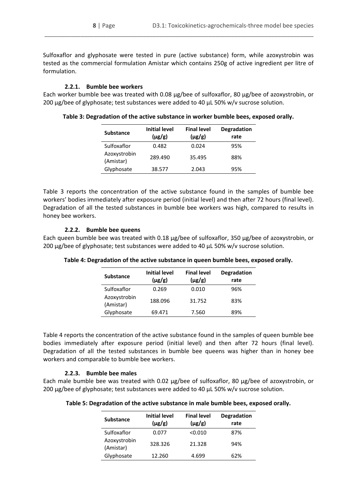Sulfoxaflor and glyphosate were tested in pure (active substance) form, while azoxystrobin was tested as the commercial formulation Amistar which contains 250g of active ingredient per litre of formulation.

\_\_\_\_\_\_\_\_\_\_\_\_\_\_\_\_\_\_\_\_\_\_\_\_\_\_\_\_\_\_\_\_\_\_\_\_\_\_\_\_\_\_\_\_\_\_\_\_\_\_\_\_\_\_\_\_\_\_\_\_\_\_\_\_\_\_\_\_\_\_\_\_\_\_\_\_\_\_\_\_\_\_

#### **2.2.1. Bumble bee workers**

<span id="page-7-0"></span>Each worker bumble bee was treated with 0.08 μg/bee of sulfoxaflor, 80 μg/bee of azoxystrobin, or 200 μg/bee of glyphosate; test substances were added to 40 μL 50% w/v sucrose solution.

| <b>Substance</b>          | <b>Initial level</b><br>$(\mu g/g)$ | <b>Final level</b><br>$(\mu g/g)$ | <b>Degradation</b><br>rate |
|---------------------------|-------------------------------------|-----------------------------------|----------------------------|
| Sulfoxaflor               | 0.482                               | 0.024                             | 95%                        |
| Azoxystrobin<br>(Amistar) | 289.490                             | 35.495                            | 88%                        |
| Glyphosate                | 38.577                              | 2.043                             | 95%                        |

**Table 3: Degradation of the active substance in worker bumble bees, exposed orally.**

Table 3 reports the concentration of the active substance found in the samples of bumble bee workers' bodies immediately after exposure period (initial level) and then after 72 hours (final level). Degradation of all the tested substances in bumble bee workers was high, compared to results in honey bee workers.

#### **2.2.2. Bumble bee queens**

<span id="page-7-1"></span>Each queen bumble bee was treated with 0.18 μg/bee of sulfoxaflor, 350 μg/bee of azoxystrobin, or 200 μg/bee of glyphosate; test substances were added to 40 μL 50% w/v sucrose solution.

| <b>Substance</b>          | <b>Initial level</b><br>$(\mu g/g)$ | <b>Final level</b><br>$(\mu g/g)$ | <b>Degradation</b><br>rate |
|---------------------------|-------------------------------------|-----------------------------------|----------------------------|
| Sulfoxaflor               | 0.269                               | 0.010                             | 96%                        |
| Azoxystrobin<br>(Amistar) | 188.096                             | 31.752                            | 83%                        |
| Glyphosate                | 69.471                              | 7.560                             | 89%                        |

**Table 4: Degradation of the active substance in queen bumble bees, exposed orally.**

Table 4 reports the concentration of the active substance found in the samples of queen bumble bee bodies immediately after exposure period (initial level) and then after 72 hours (final level). Degradation of all the tested substances in bumble bee queens was higher than in honey bee workers and comparable to bumble bee workers.

## **2.2.3. Bumble bee males**

<span id="page-7-2"></span>Each male bumble bee was treated with 0.02 μg/bee of sulfoxaflor, 80 μg/bee of azoxystrobin, or 200 μg/bee of glyphosate; test substances were added to 40 μL 50% w/v sucrose solution.

**Table 5: Degradation of the active substance in male bumble bees, exposed orally.**

| <b>Substance</b>          | <b>Initial level</b><br>$(\mu g/g)$ | <b>Final level</b><br>$(\mu g/g)$ | <b>Degradation</b><br>rate |
|---------------------------|-------------------------------------|-----------------------------------|----------------------------|
| Sulfoxaflor               | 0.077                               | < 0.010                           | 87%                        |
| Azoxystrobin<br>(Amistar) | 328.326                             | 21.328                            | 94%                        |
| Glyphosate                | 12.260                              | 4.699                             | 62%                        |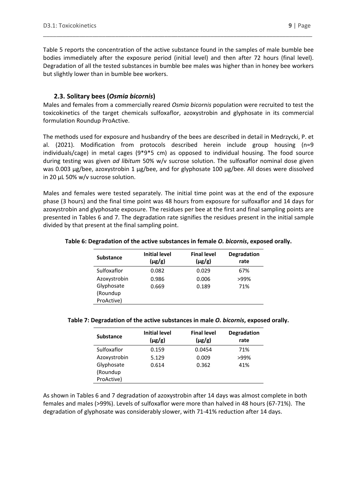Table 5 reports the concentration of the active substance found in the samples of male bumble bee bodies immediately after the exposure period (initial level) and then after 72 hours (final level). Degradation of all the tested substances in bumble bee males was higher than in honey bee workers but slightly lower than in bumble bee workers.

\_\_\_\_\_\_\_\_\_\_\_\_\_\_\_\_\_\_\_\_\_\_\_\_\_\_\_\_\_\_\_\_\_\_\_\_\_\_\_\_\_\_\_\_\_\_\_\_\_\_\_\_\_\_\_\_\_\_\_\_\_\_\_\_\_\_\_\_\_\_\_\_\_\_\_\_\_\_\_\_\_\_

## **2.3. Solitary bees (***Osmia bicornis***)**

<span id="page-8-0"></span>Males and females from a commercially reared *Osmia bicornis* population were recruited to test the toxicokinetics of the target chemicals sulfoxaflor, azoxystrobin and glyphosate in its commercial formulation Roundup ProActive.

The methods used for exposure and husbandry of the bees are described in detail in Medrzycki, P. et al. (2021). Modification from protocols described herein include group housing (n=9 individuals/cage) in metal cages (9\*9\*5 cm) as opposed to individual housing. The food source during testing was given *ad libitum* 50% w/v sucrose solution. The sulfoxaflor nominal dose given was 0.003 µg/bee, azoxystrobin 1 μg/bee, and for glyphosate 100 µg/bee. All doses were dissolved in 20 μL 50% w/v sucrose solution.

Males and females were tested separately. The initial time point was at the end of the exposure phase (3 hours) and the final time point was 48 hours from exposure for sulfoxaflor and 14 days for azoxystrobin and glyphosate exposure. The residues per bee at the first and final sampling points are presented in Tables 6 and 7. The degradation rate signifies the residues present in the initial sample divided by that present at the final sampling point.

## **Table 6: Degradation of the active substances in female** *O. bicornis***, exposed orally.**

| <b>Substance</b> | <b>Initial level</b><br>$(\mu g/g)$ | <b>Final level</b><br>$(\mu g/g)$ | <b>Degradation</b><br>rate |
|------------------|-------------------------------------|-----------------------------------|----------------------------|
| Sulfoxaflor      | 0.082                               | 0.029                             | 67%                        |
| Azoxystrobin     | 0.986                               | 0.006                             | >99%                       |
| Glyphosate       | 0.669                               | 0.189                             | 71%                        |
| (Roundup         |                                     |                                   |                            |
| ProActive)       |                                     |                                   |                            |

#### **Table 7: Degradation of the active substances in male** *O. bicornis***, exposed orally.**

| <b>Substance</b> | <b>Initial level</b><br>$(\mu g/g)$ | <b>Final level</b><br>$(\mu g/g)$ | <b>Degradation</b><br>rate |
|------------------|-------------------------------------|-----------------------------------|----------------------------|
| Sulfoxaflor      | 0.159                               | 0.0454                            | 71%                        |
| Azoxystrobin     | 5.129                               | 0.009                             | >99%                       |
| Glyphosate       | 0.614                               | 0.362                             | 41%                        |
| (Roundup         |                                     |                                   |                            |
| ProActive)       |                                     |                                   |                            |

As shown in Tables 6 and 7 degradation of azoxystrobin after 14 days was almost complete in both females and males (>99%). Levels of sulfoxaflor were more than halved in 48 hours (67-71%). The degradation of glyphosate was considerably slower, with 71-41% reduction after 14 days.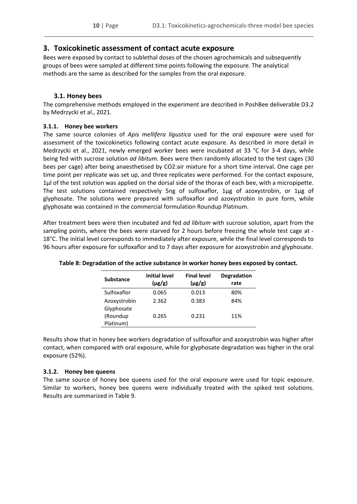# <span id="page-9-0"></span>**3. Toxicokinetic assessment of contact acute exposure**

Bees were exposed by contact to sublethal doses of the chosen agrochemicals and subsequently groups of bees were sampled at different time points following the exposure. The analytical methods are the same as described for the samples from the oral exposure.

\_\_\_\_\_\_\_\_\_\_\_\_\_\_\_\_\_\_\_\_\_\_\_\_\_\_\_\_\_\_\_\_\_\_\_\_\_\_\_\_\_\_\_\_\_\_\_\_\_\_\_\_\_\_\_\_\_\_\_\_\_\_\_\_\_\_\_\_\_\_\_\_\_\_\_\_\_\_\_\_\_\_

## **3.1. Honey bees**

<span id="page-9-1"></span>The comprehensive methods employed in the experiment are described in PoshBee deliverable D3.2 by Medrzycki et al., 2021.

## <span id="page-9-2"></span>**3.1.1. Honey bee workers**

The same source colonies of *Apis mellifera ligustica* used for the oral exposure were used for assessment of the toxicokinetics following contact acute exposure. As described in more detail in Medrzycki et al., 2021, newly emerged worker bees were incubated at 33 °C for 3-4 days, while being fed with sucrose solution *ad libitum*. Bees were then randomly allocated to the test cages (30 bees per cage) after being anaesthetised by CO2:air mixture for a short time interval. One cage per time point per replicate was set up, and three replicates were performed. For the contact exposure, 1μl of the test solution was applied on the dorsal side of the thorax of each bee, with a micropipette. The test solutions contained respectively 5ng of sulfoxaflor, 1μg of azoxystrobin, or 1μg of glyphosate. The solutions were prepared with sulfoxaflor and azoxystrobin in pure form, while glyphosate was contained in the commercial formulation Roundup Platinum.

After treatment bees were then incubated and fed *ad libitum* with sucrose solution, apart from the sampling points, where the bees were starved for 2 hours before freezing the whole test cage at - 18°C. The initial level corresponds to immediately after exposure, while the final level corresponds to 96 hours after exposure for sulfoxaflor and to 7 days after exposure for azoxystrobin and glyphosate.

| <b>Substance</b> | <b>Initial level</b><br>$(\mu g/g)$ | <b>Final level</b><br>$(\mu g/g)$ | <b>Degradation</b><br>rate |
|------------------|-------------------------------------|-----------------------------------|----------------------------|
| Sulfoxaflor      | 0.065                               | 0.013                             | 80%                        |
| Azoxystrobin     | 2.362                               | 0.383                             | 84%                        |
| Glyphosate       |                                     |                                   |                            |
| (Roundup         | 0.265                               | 0.231                             | 11%                        |
| Platinum)        |                                     |                                   |                            |

## **Table 8: Degradation of the active substance in worker honey bees exposed by contact.**

Results show that in honey bee workers degradation of sulfoxaflor and azoxystrobin was higher after contact, when compared with oral exposure, while for glyphosate degradation was higher in the oral exposure (52%).

## <span id="page-9-3"></span>**3.1.2. Honey bee queens**

The same source of honey bee queens used for the oral exposure were used for topic exposure. Similar to workers, honey bee queens were individually treated with the spiked test solutions. Results are summarized in Table 9.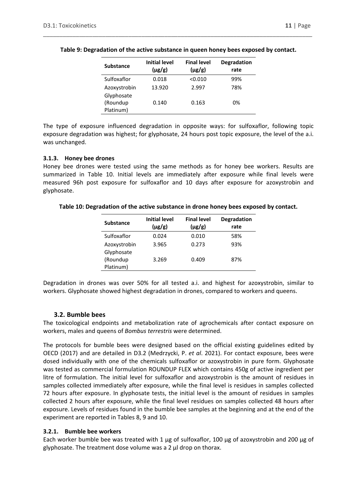| <b>Substance</b> | <b>Initial level</b><br>$(\mu g/g)$ | <b>Final level</b><br>$(\mu g/g)$ | <b>Degradation</b><br>rate |
|------------------|-------------------------------------|-----------------------------------|----------------------------|
| Sulfoxaflor      | 0.018                               | < 0.010                           | 99%                        |
| Azoxystrobin     | 13.920                              | 2.997                             | 78%                        |
| Glyphosate       |                                     |                                   |                            |
| (Roundup         | 0.140                               | 0.163                             | 0%                         |
| Platinum)        |                                     |                                   |                            |

The type of exposure influenced degradation in opposite ways: for sulfoxaflor, following topic exposure degradation was highest; for glyphosate, 24 hours post topic exposure, the level of the a.i. was unchanged.

#### <span id="page-10-0"></span>**3.1.3. Honey bee drones**

Honey bee drones were tested using the same methods as for honey bee workers. Results are summarized in Table 10. Initial levels are immediately after exposure while final levels were measured 96h post exposure for sulfoxaflor and 10 days after exposure for azoxystrobin and glyphosate.

| <b>Substance</b>           | <b>Initial level</b><br>$(\mu g/g)$ | <b>Final level</b><br>$(\mu g/g)$ | <b>Degradation</b><br>rate |
|----------------------------|-------------------------------------|-----------------------------------|----------------------------|
| Sulfoxaflor                | 0.024                               | 0.010                             | 58%                        |
| Azoxystrobin<br>Glyphosate | 3.965                               | 0.273                             | 93%                        |
| (Roundup<br>Platinum)      | 3.269                               | 0.409                             | 87%                        |

**Table 10: Degradation of the active substance in drone honey bees exposed by contact.**

Degradation in drones was over 50% for all tested a.i. and highest for azoxystrobin, similar to workers. Glyphosate showed highest degradation in drones, compared to workers and queens.

## **3.2. Bumble bees**

<span id="page-10-1"></span>The toxicological endpoints and metabolization rate of agrochemicals after contact exposure on workers, males and queens of *Bombus terrestris* were determined.

The protocols for bumble bees were designed based on the official existing guidelines edited by OECD (2017) and are detailed in D3.2 (Medrzycki, P. *et al*. 2021). For contact exposure, bees were dosed individually with one of the chemicals sulfoxaflor or azoxystrobin in pure form. Glyphosate was tested as commercial formulation ROUNDUP FLEX which contains 450g of active ingredient per litre of formulation. The initial level for sulfoxaflor and azoxystrobin is the amount of residues in samples collected immediately after exposure, while the final level is residues in samples collected 72 hours after exposure. In glyphosate tests, the initial level is the amount of residues in samples collected 2 hours after exposure, while the final level residues on samples collected 48 hours after exposure. Levels of residues found in the bumble bee samples at the beginning and at the end of the experiment are reported in Tables 8, 9 and 10.

## <span id="page-10-2"></span>**3.2.1. Bumble bee workers**

Each worker bumble bee was treated with 1 μg of sulfoxaflor, 100 μg of azoxystrobin and 200 μg of glyphosate. The treatment dose volume was a 2 µl drop on thorax.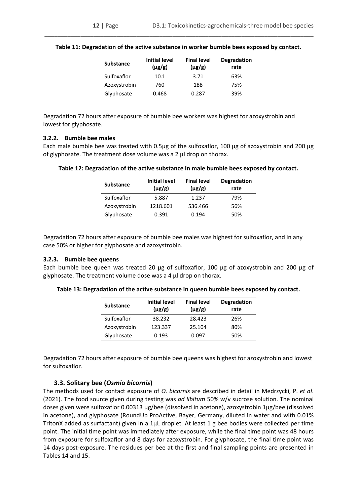| <b>Substance</b> | <b>Initial level</b><br>$(\mu$ g/g) | <b>Final level</b><br>$(\mu g/g)$ | <b>Degradation</b><br>rate |
|------------------|-------------------------------------|-----------------------------------|----------------------------|
| Sulfoxaflor      | 10.1                                | 3.71                              | 63%                        |
| Azoxystrobin     | 760                                 | 188                               | 75%                        |
| Glyphosate       | 0.468                               | 0.287                             | 39%                        |

Degradation 72 hours after exposure of bumble bee workers was highest for azoxystrobin and lowest for glyphosate.

#### <span id="page-11-0"></span>**3.2.2. Bumble bee males**

Each male bumble bee was treated with 0.5μg of the sulfoxaflor, 100 μg of azoxystrobin and 200 μg of glyphosate. The treatment dose volume was a 2 µl drop on thorax.

| <b>Substance</b> | <b>Initial level</b><br>$(\mu g/g)$ | <b>Final level</b><br>$(\mu g/g)$ | <b>Degradation</b><br>rate |
|------------------|-------------------------------------|-----------------------------------|----------------------------|
| Sulfoxaflor      | 5.887                               | 1.237                             | 79%                        |
| Azoxystrobin     | 1218.601                            | 536.466                           | 56%                        |
| Glyphosate       | 0.391                               | 0.194                             | 50%                        |

**Table 12: Degradation of the active substance in male bumble bees exposed by contact.**

Degradation 72 hours after exposure of bumble bee males was highest for sulfoxaflor, and in any case 50% or higher for glyphosate and azoxystrobin.

#### <span id="page-11-1"></span>**3.2.3. Bumble bee queens**

Each bumble bee queen was treated 20 μg of sulfoxaflor, 100 μg of azoxystrobin and 200 μg of glyphosate. The treatment volume dose was a 4  $\mu$ l drop on thorax.

| <b>Substance</b> | <b>Initial level</b><br>$(\mu g/g)$ | <b>Final level</b><br>$(\mu g/g)$ | <b>Degradation</b><br>rate |
|------------------|-------------------------------------|-----------------------------------|----------------------------|
| Sulfoxaflor      | 38.232                              | 28.423                            | 26%                        |
| Azoxystrobin     | 123.337                             | 25.104                            | 80%                        |
| Glyphosate       | 0.193                               | 0.097                             | 50%                        |

**Table 13: Degradation of the active substance in queen bumble bees exposed by contact.**

Degradation 72 hours after exposure of bumble bee queens was highest for azoxystrobin and lowest for sulfoxaflor.

#### **3.3. Solitary bee (***Osmia bicornis***)**

<span id="page-11-2"></span>The methods used for contact exposure of *O. bicornis* are described in detail in Medrzycki, P. *et al*. (2021). The food source given during testing was *ad libitum* 50% w/v sucrose solution. The nominal doses given were sulfoxaflor 0.00313 µg/bee (dissolved in acetone), azoxystrobin 1μg/bee (dissolved in acetone), and glyphosate (RoundUp ProActive, Bayer, Germany, diluted in water and with 0.01% TritonX added as surfactant) given in a 1μL droplet. At least 1 g bee bodies were collected per time point. The initial time point was immediately after exposure, while the final time point was 48 hours from exposure for sulfoxaflor and 8 days for azoxystrobin. For glyphosate, the final time point was 14 days post-exposure. The residues per bee at the first and final sampling points are presented in Tables 14 and 15.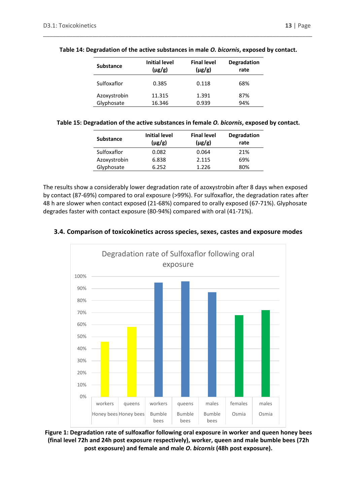| <b>Substance</b> | <b>Initial level</b><br>$(\mu g/g)$ | <b>Final level</b><br>$(\mu g/g)$ | <b>Degradation</b><br>rate |
|------------------|-------------------------------------|-----------------------------------|----------------------------|
| Sulfoxaflor      | 0.385                               | 0.118                             | 68%                        |
| Azoxystrobin     | 11.315                              | 1.391                             | 87%                        |
| Glyphosate       | 16.346                              | 0.939                             | 94%                        |

#### **Table 14: Degradation of the active substances in male** *O. bicornis***, exposed by contact.**

\_\_\_\_\_\_\_\_\_\_\_\_\_\_\_\_\_\_\_\_\_\_\_\_\_\_\_\_\_\_\_\_\_\_\_\_\_\_\_\_\_\_\_\_\_\_\_\_\_\_\_\_\_\_\_\_\_\_\_\_\_\_\_\_\_\_\_\_\_\_\_\_\_\_\_\_\_\_\_\_\_\_

#### **Table 15: Degradation of the active substances in female** *O. bicornis***, exposed by contact.**

| <b>Substance</b> | Initial level<br>$(\mu g/g)$ | <b>Final level</b><br>$(\mu g/g)$ | <b>Degradation</b><br>rate |
|------------------|------------------------------|-----------------------------------|----------------------------|
| Sulfoxaflor      | 0.082                        | 0.064                             | 21%                        |
| Azoxystrobin     | 6.838                        | 2.115                             | 69%                        |
| Glyphosate       | 6.252                        | 1.226                             | 80%                        |

The results show a considerably lower degradation rate of azoxystrobin after 8 days when exposed by contact (87-69%) compared to oral exposure (>99%). For sulfoxaflor, the degradation rates after 48 h are slower when contact exposed (21-68%) compared to orally exposed (67-71%). Glyphosate degrades faster with contact exposure (80-94%) compared with oral (41-71%).

## <span id="page-12-0"></span>**3.4. Comparison of toxicokinetics across species, sexes, castes and exposure modes**



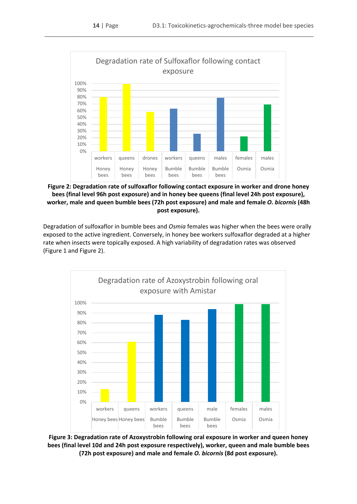

**Figure 2: Degradation rate of sulfoxaflor following contact exposure in worker and drone honey bees (final level 96h post exposure) and in honey bee queens (final level 24h post exposure), worker, male and queen bumble bees (72h post exposure) and male and female** *O. bicornis* **(48h post exposure).**

Degradation of sulfoxaflor in bumble bees and *Osmia* females was higher when the bees were orally exposed to the active ingredient. Conversely, in honey bee workers sulfoxaflor degraded at a higher rate when insects were topically exposed. A high variability of degradation rates was observed (Figure 1 and Figure 2).



**Figure 3: Degradation rate of Azoxystrobin following oral exposure in worker and queen honey bees (final level 10d and 24h post exposure respectively), worker, queen and male bumble bees (72h post exposure) and male and female** *O. bicornis* **(8d post exposure).**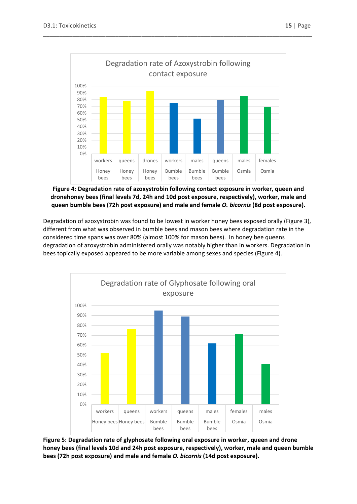

**Figure 4: Degradation rate of azoxystrobin following contact exposure in worker, queen and dronehoney bees (final levels 7d, 24h and 10d post exposure, respectively), worker, male and queen bumble bees (72h post exposure) and male and female** *O. bicornis* **(8d post exposure).**

Degradation of azoxystrobin was found to be lowest in worker honey bees exposed orally (Figure 3), different from what was observed in bumble bees and mason bees where degradation rate in the considered time spans was over 80% (almost 100% for mason bees). In honey bee queens degradation of azoxystrobin administered orally was notably higher than in workers. Degradation in bees topically exposed appeared to be more variable among sexes and species (Figure 4).



**Figure 5: Degradation rate of glyphosate following oral exposure in worker, queen and drone honey bees (final levels 10d and 24h post exposure, respectively), worker, male and queen bumble bees (72h post exposure) and male and female** *O. bicornis* **(14d post exposure).**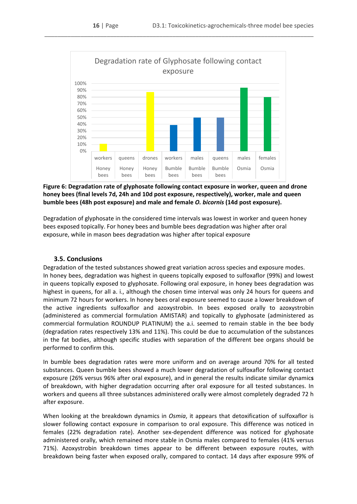

## **Figure 6: Degradation rate of glyphosate following contact exposure in worker, queen and drone honey bees (final levels 7d, 24h and 10d post exposure, respectively), worker, male and queen bumble bees (48h post exposure) and male and female** *O. bicornis* **(14d post exposure).**

Degradation of glyphosate in the considered time intervals was lowest in worker and queen honey bees exposed topically. For honey bees and bumble bees degradation was higher after oral exposure, while in mason bees degradation was higher after topical exposure

## **3.5. Conclusions**

<span id="page-15-0"></span>Degradation of the tested substances showed great variation across species and exposure modes. In honey bees, degradation was highest in queens topically exposed to sulfoxaflor (99%) and lowest in queens topically exposed to glyphosate. Following oral exposure, in honey bees degradation was highest in queens, for all a. i., although the chosen time interval was only 24 hours for queens and minimum 72 hours for workers. In honey bees oral exposure seemed to cause a lower breakdown of the active ingredients sulfoxaflor and azoxystrobin. In bees exposed orally to azoxystrobin (administered as commercial formulation AMISTAR) and topically to glyphosate (administered as commercial formulation ROUNDUP PLATINUM) the a.i. seemed to remain stable in the bee body (degradation rates respectively 13% and 11%). This could be due to accumulation of the substances in the fat bodies, although specific studies with separation of the different bee organs should be performed to confirm this.

In bumble bees degradation rates were more uniform and on average around 70% for all tested substances. Queen bumble bees showed a much lower degradation of sulfoxaflor following contact exposure (26% versus 96% after oral exposure), and in general the results indicate similar dynamic**s** of breakdown, with higher degradation occurring after oral exposure for all tested substances. In workers and queens all three substances administered orally were almost completely degraded 72 h after exposure.

When looking at the breakdown dynamics in *Osmia*, it appears that detoxification of sulfoxaflor is slower following contact exposure in comparison to oral exposure. This difference was noticed in females (22% degradation rate). Another sex-dependent difference was noticed for glyphosate administered orally, which remained more stable in Osmia males compared to females (41% versus 71%). Azoxystrobin breakdown times appear to be different between exposure routes, with breakdown being faster when exposed orally, compared to contact. 14 days after exposure 99% of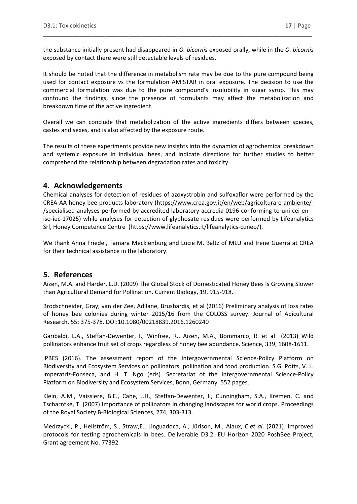the substance initially present had disappeared in *O. bicornis* exposed orally, while in the *O. bicornis* exposed by contact there were still detectable levels of residues.

\_\_\_\_\_\_\_\_\_\_\_\_\_\_\_\_\_\_\_\_\_\_\_\_\_\_\_\_\_\_\_\_\_\_\_\_\_\_\_\_\_\_\_\_\_\_\_\_\_\_\_\_\_\_\_\_\_\_\_\_\_\_\_\_\_\_\_\_\_\_\_\_\_\_\_\_\_\_\_\_\_\_

It should be noted that the difference in metabolism rate may be due to the pure compound being used for contact exposure vs the formulation AMISTAR in oral exposure. The decision to use the commercial formulation was due to the pure compound's insolubility in sugar syrup. This may confound the findings, since the presence of formulants may affect the metabolization and breakdown time of the active ingredient.

Overall we can conclude that metabolization of the active ingredients differs between species, castes and sexes, and is also affected by the exposure route.

The results of these experiments provide new insights into the dynamics of agrochemical breakdown and systemic exposure in individual bees, and indicate directions for further studies to better comprehend the relationship between degradation rates and toxicity.

## <span id="page-16-0"></span>**4. Acknowledgements**

Chemical analyses for detection of residues of azoxystrobin and sulfoxaflor were performed by the CREA-AA honey bee products laboratory [\(https://www.crea.gov.it/en/web/agricoltura-e-ambiente/-](https://www.crea.gov.it/en/web/agricoltura-e-ambiente/-/specialised-analyses-performed-by-accredited-laboratory-accredia-0196-conforming-to-uni-cei-en-iso-iec-17025) [/specialised-analyses-performed-by-accredited-laboratory-accredia-0196-conforming-to-uni-cei-en](https://www.crea.gov.it/en/web/agricoltura-e-ambiente/-/specialised-analyses-performed-by-accredited-laboratory-accredia-0196-conforming-to-uni-cei-en-iso-iec-17025)[iso-iec-17025\)](https://www.crea.gov.it/en/web/agricoltura-e-ambiente/-/specialised-analyses-performed-by-accredited-laboratory-accredia-0196-conforming-to-uni-cei-en-iso-iec-17025) while analyses for detection of glyphosate residues were performed by Lifeanalytics Srl, Honey Competence Centre [\(https://www.lifeanalytics.it/lifeanalytics-cuneo/\)](https://www.lifeanalytics.it/lifeanalytics-cuneo/).

We thank Anna Friedel, Tamara Mecklenburg and Lucie M. Baltz of MLU and Irene Guerra at CREA for their technical assistance in the laboratory.

## <span id="page-16-1"></span>**5. References**

Aizen, M.A. and Harder, L.D. (2009) The Global Stock of Domesticated Honey Bees Is Growing Slower than Agricultural Demand for Pollination. Current Biology, 19, 915-918.

Brodschneider, Gray, van der Zee, Adjlane, Brusbardis, et al (2016) Preliminary analysis of loss rates of honey bee colonies during winter 2015/16 from the COLOSS survey. Journal of Apicultural Research, 55: 375-378. DOI:10.1080/00218839.2016.1260240

Garibaldi, L.A., Steffan-Dewenter, I., Winfree, R., Aizen, M.A., Bommarco, R. et al (2013) Wild pollinators enhance fruit set of crops regardless of honey bee abundance. Science, 339, 1608-1611.

IPBES (2016). The assessment report of the Intergovernmental Science-Policy Platform on Biodiversity and Ecosystem Services on pollinators, pollination and food production. S.G. Potts, V. L. Imperatriz-Fonseca, and H. T. Ngo (eds). Secretariat of the Intergovernmental Science-Policy Platform on Biodiversity and Ecosystem Services, Bonn, Germany. 552 pages.

Klein, A.M., Vaissiere, B.E., Cane, J.H., Steffan-Dewenter, I., Cunningham, S.A., Kremen, C. and Tscharntke, T. (2007) Importance of pollinators in changing landscapes for world crops. Proceedings of the Royal Society B-Biological Sciences, 274, 303-313.

Medrzycki, P., Hellström, S., Straw,E., Linguadoca, A., Jürison, M., Alaux, C.*et al*. (2021). Improved protocols for testing agrochemicals in bees. Deliverable D3.2. EU Horizon 2020 PoshBee Project, Grant agreement No. 77392